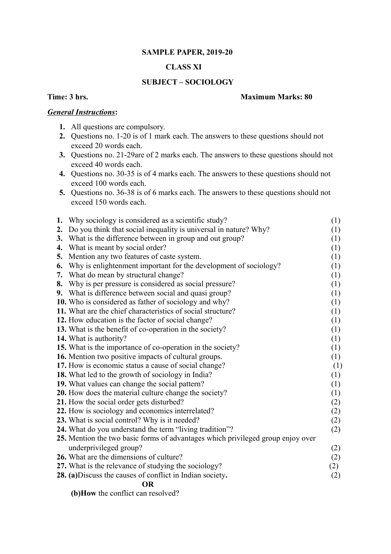## **SAMPLE PAPER, 2019-20**

# **CLASS XI**

## **SUBJECT – SOCIOLOGY**

#### **Time: 3 hrs.** Maximum Marks: 80

## *General Instructions***:**

- **1.** All questions are compulsory.
- **2.** Questions no. 1-20 is of 1 mark each. The answers to these questions should not exceed 20 words each.
- **3.** Questions no. 21-29are of 2 marks each. The answers to these questions should not exceed 40 words each.
- **4.** Questions no. 30-35 is of 4 marks each. The answers to these questions should not exceed 100 words each.
- **5.** Questions no. 36-38 is of 6 marks each. The answers to these questions should not exceed 150 words each.

|    | 1. Why sociology is considered as a scientific study?                           | (1) |
|----|---------------------------------------------------------------------------------|-----|
|    | 2. Do you think that social inequality is universal in nature? Why?             | (1) |
|    | 3. What is the difference between in group and out group?                       | (1) |
| 4. | What is meant by social order?                                                  | (1) |
| 5. | Mention any two features of caste system.                                       | (1) |
| 6. | Why is enlightenment important for the development of sociology?                | (1) |
|    | 7. What do mean by structural change?                                           | (1) |
| 8. | Why is per pressure is considered as social pressure?                           | (1) |
|    | 9. What is difference between social and quasi group?                           | (1) |
|    | 10. Who is considered as father of sociology and why?                           | (1) |
|    | 11. What are the chief characteristics of social structure?                     | (1) |
|    | 12. How education is the factor of social change?                               | (1) |
|    | 13. What is the benefit of co-operation in the society?                         | (1) |
|    | 14. What is authority?                                                          | (1) |
|    | 15. What is the importance of co-operation in the society?                      | (1) |
|    | 16. Mention two positive impacts of cultural groups.                            | (1) |
|    | 17. How is economic status a cause of social change?                            | (1) |
|    | 18. What led to the growth of sociology in India?                               | (1) |
|    | 19. What values can change the social pattern?                                  | (1) |
|    | 20. How does the material culture change the society?                           | (1) |
|    | 21. How the social order gets disturbed?                                        | (2) |
|    | 22. How is sociology and economics interrelated?                                | (2) |
|    | 23. What is social control? Why is it needed?                                   | (2) |
|    | 24. What do you understand the term "living tradition"?                         | (2) |
|    | 25. Mention the two basic forms of advantages which privileged group enjoy over |     |
|    | underprivileged group?                                                          | (2) |
|    | 26. What are the dimensions of culture?                                         | (2) |
|    | 27. What is the relevance of studying the sociology?                            | (2) |
|    | 28. (a) Discuss the causes of conflict in Indian society.                       | (2) |
|    | <b>OR</b>                                                                       |     |

**(b)How** the conflict can resolved?